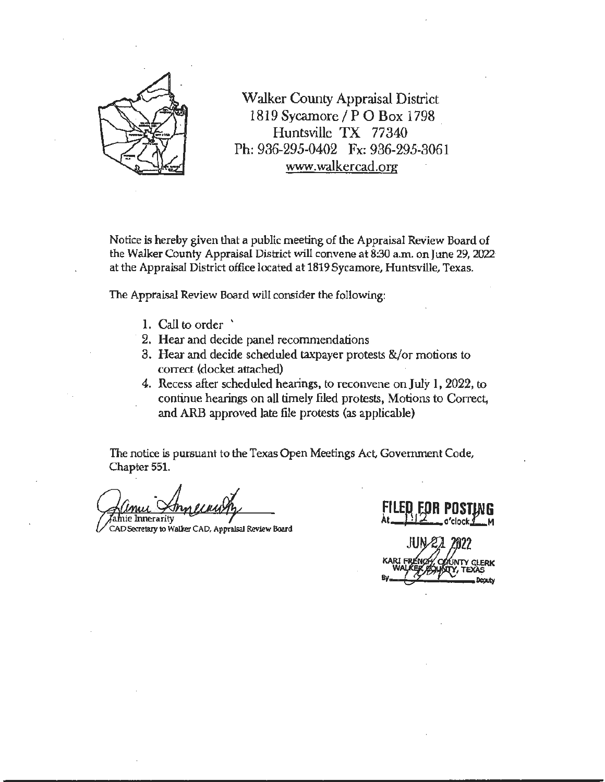

Walker County Appraisal District 1819 Sycamore/PO Box 1798 . Huntsville TX 77340 Ph: 936-295-0402 Fx: 936-295-3061 www.walkercad.org

Notice is hereby given that a public meeting of the Appraisal Review Board of the Walker County Appraisal District will convene at 8:30 a.m. on June 29, 2022· at the Appraisal District office located at 1819 Sycamore, Huntsville, Texas.

The Appraisal Review Board will consider the following:

- 1. Call to order '
- 2. Hear and decide panel recommendations
- 3. Hear and decide scheduled taxpayer protests &/or motions to correct (docket attached)
- 4. Recess after scheduled hearings, to reconvene onJuly 1, 2022, to continue hearings on all timely filed protests, Motions to Correct, and ARB approved late file protests (as applicable)

The notice is pursuant to the Texas Open Meetings Act, Government Code, Chapter 551.

ı*l*nie Innerarily

CAD Secretary to Walker CAD, Appraisal Review Board

**FILE,A ~OR POST~G At** -I o'clock **<sup>M</sup>**• JN 22 2022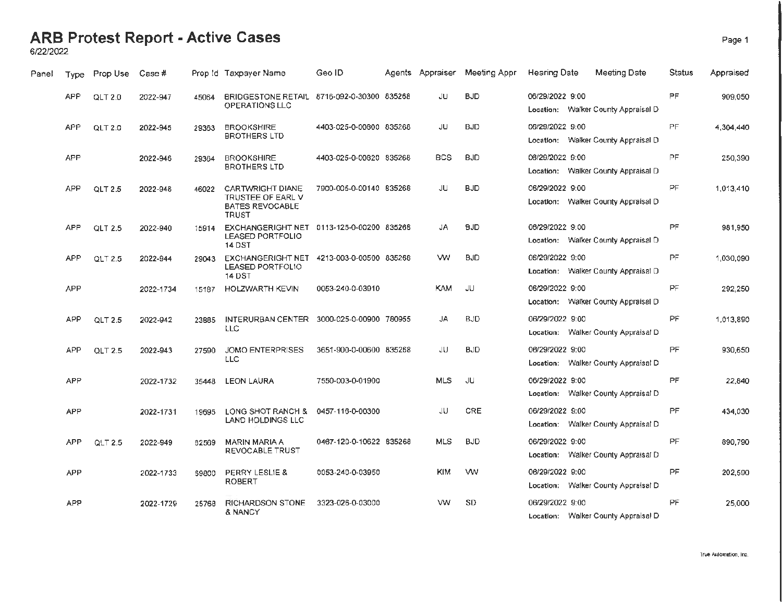#### **ARB Protest Report - Active Cases** Page 1

6/22/2022

| Panel | <b>Type</b> | Prop Use           | Case #    |       | Prop Id Taxpayer Name                                                                 | Geo ID                  | Agents Appraiser | Meeting Appr | <b>Hearing Date</b> | Meeting Date                        | Status    | Appraised |
|-------|-------------|--------------------|-----------|-------|---------------------------------------------------------------------------------------|-------------------------|------------------|--------------|---------------------|-------------------------------------|-----------|-----------|
|       | <b>APP</b>  | QLT <sub>2.0</sub> | 2022-947  | 45064 | BRIDGESTONE RETAIL 8716-092-0-30300 835268<br>OPERATIONS LLC                          |                         | JU               | <b>BJD</b>   | 06/29/2022 9:00     | Location: Walker County Appraisal D | PF.       | 909.050   |
|       | APP         | QLT 2.0            | 2022-945  | 29363 | <b>BROOKSHIRE</b><br><b>BROTHERS LTD</b>                                              | 4403-025-0-00800 835268 | JU               | <b>BJD</b>   | 06/29/2022 9:00     | Location: Walker County Appraisal D | PF        | 4.304.440 |
|       | <b>APP</b>  |                    | 2022-946  | 29364 | <b>BROOKSHIRE</b><br><b>BROTHERS LTD</b>                                              | 4403-025-0-00820 835268 | <b>BCS</b>       | <b>BJD</b>   | 06/29/2022 9:00     | Location: Walker County Appraisal D | PF        | 250.390   |
|       | <b>APP</b>  | QLT 2.5            | 2022-948  | 46022 | CARTWRIGHT DIANE<br>TRUSTEE OF EARL V<br><b>BATES REVOCABLE</b><br><b>TRUST</b>       | 7900-005-0-00140 835268 | JU               | <b>BJD</b>   | 06/29/2022 9:00     | Location: Walker County Appraisal D | PF        | 1,013,410 |
|       | <b>APP</b>  | QLT 2.5            | 2022-940  | 15914 | EXCHANGERIGHT NET 0113-125-0-00200 835268<br><b>LEASED PORTFOLIO</b><br><b>14 DST</b> |                         | JA               | <b>BJD</b>   | 06/29/2022 9:00     | Location: Walker County Appraisal D | PF.       | 981.950   |
|       | <b>APP</b>  | QLT 2.5            | 2022-944  | 29043 | <b>EXCHANGERIGHT NET</b><br>LEASED PORTFOLIO<br><b>14 DST</b>                         | 4213-003-0-00500 835268 | w                | <b>BJD</b>   | 06/29/2022 9:00     | Location: Walker County Appraisal D | PF.       | 1,030,090 |
|       | <b>APP</b>  |                    | 2022-1734 | 15187 | <b>HOLZWARTH KEVIN</b>                                                                | 0053-240-0-03910        | <b>KAM</b>       | JU           | 06/29/2022 9:00     | Location: Walker County Appraisal D | <b>PF</b> | 292,250   |
|       | <b>APP</b>  | QLT 2.5            | 2022-942  | 23885 | INTERURBAN CENTER<br>LLC                                                              | 3000-025-0-00900 780955 | JA               | <b>BJD</b>   | 06/29/2022 9:00     | Location: Walker County Appraisal D | PF        | 1,013,890 |
|       | APP         | <b>QLT 2.5</b>     | 2022-943  | 27590 | <b>JOMO ENTERPRISES</b><br>LLC                                                        | 3651-900-0-00600 835268 | JU               | <b>BJD</b>   | 06/29/2022 9:00     | Location: Walker County Appraisal D | PF        | 930,650   |
|       | <b>APP</b>  |                    | 2022-1732 | 35448 | <b>LEON LAURA</b>                                                                     | 7550-003-0-01900        | <b>MLS</b>       | JU           | 06/29/2022 9:00     | Location: Walker County Appraisal D | PF        | 22,840    |
|       | <b>APP</b>  |                    | 2022-1731 | 19695 | LONG SHOT RANCH &<br><b>LAND HOLDINGS LLC</b>                                         | 0457-116-0-00300        | JU               | CRE          | 06/29/2022 9:00     | Location: Walker County Appraisal D | PF        | 434,030   |
|       | <b>APP</b>  | QLT 2.5            | 2022-949  | 62569 | MARIN MARIA A<br><b>REVOCABLE TRUST</b>                                               | 0467-120-0-10622 835268 | <b>MLS</b>       | <b>BJD</b>   | 06/29/2022 9:00     | Location: Walker County Appraisal D | PF        | 890,790   |
|       | <b>APP</b>  |                    | 2022-1733 | 69800 | PERRY LESLIE &<br><b>ROBERT</b>                                                       | 0053-240-0-03950        | <b>KIM</b>       | <b>WV</b>    | 06/29/2022 9:00     | Location: Walker County Appraisal D | PF        | 202,590   |
|       | <b>APP</b>  |                    | 2022-1729 | 25768 | RICHARDSON STONE<br>& NANCY                                                           | 3323-026-0-03000        | w                | <b>SD</b>    | 06/29/2022 9:00     | Location: Walker County Appraisal D | РĖ        | 25.000    |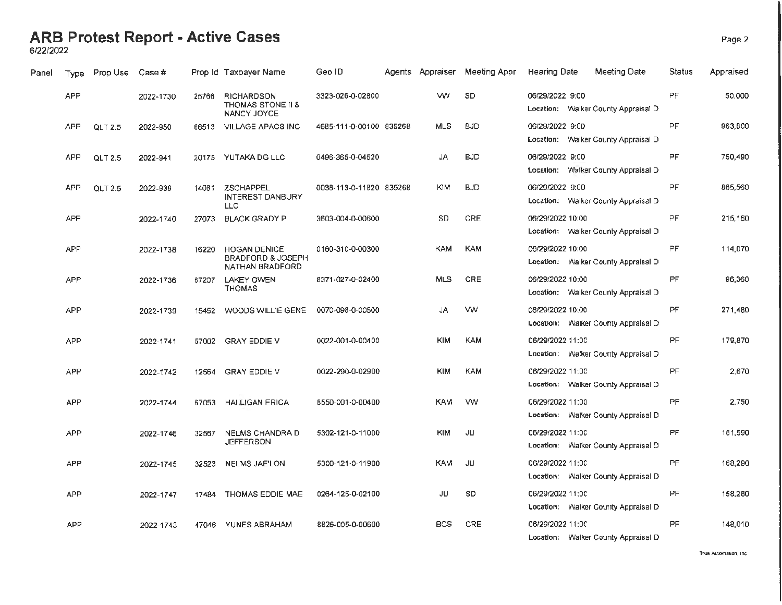### **ARB Protest Report - Active Cases** Page 2

6/22/2022

| Panel | Type       | Prop Use       | Case #    |       | Prop Id Taxpayer Name                                                  | Geo ID                  | Agents Appraiser | Meeting Appr | <b>Hearing Date</b><br>Meeting Date                     | Status    | Appraised |
|-------|------------|----------------|-----------|-------|------------------------------------------------------------------------|-------------------------|------------------|--------------|---------------------------------------------------------|-----------|-----------|
|       | <b>APP</b> |                | 2022-1730 | 25766 | <b>RICHARDSON</b><br>THOMAS STONE II &<br>NANCY JOYCE                  | 3323-026-0-02800        | w                | SD           | 06/29/2022 9:00<br>Location: Walker County Appraisal D  | PF        | 50,000    |
|       | <b>APP</b> | <b>QLT 2.5</b> | 2022-950  | 66513 | VILLAGE APACS INC                                                      | 4685-111-0-00100 835268 | <b>MLS</b>       | <b>BJD</b>   | 06/29/2022 9:00<br>Location: Walker County Appraisal D  | PF        | 963,800   |
|       | <b>APP</b> | QLT 2.5        | 2022-941  |       | 20175 YUTAKA DG LLC                                                    | 0496-365-0-04520        | JA               | <b>BJD</b>   | 06/29/2022 9:00<br>Location: Walker County Appraisal D  | <b>PF</b> | 750,490   |
|       | <b>APP</b> | <b>QLT 2.5</b> | 2022-939  | 14081 | ZSCHAPPEL<br><b>INTEREST DANBURY</b><br>LLC                            | 0038-113-0-11820 835268 | <b>KIM</b>       | <b>BJD</b>   | 06/29/2022 9:00<br>Location: Walker County Appraisal D  | PF        | 865,560   |
|       | <b>APP</b> |                | 2022-1740 | 27073 | <b>BLACK GRADY P</b>                                                   | 3603-004-0-00600        | <b>SD</b>        | CRE          | 06/29/2022 10:00<br>Location: Walker County Appraisal D | PF.       | 215,160   |
|       | <b>APP</b> |                | 2022-1738 | 16220 | <b>HOGAN DENICE</b><br><b>BRADFORD &amp; JOSEPH</b><br>NATHAN BRADFORD | 0160-310-0-00300        | KAM              | <b>KAM</b>   | 06/29/2022 10:00<br>Location: Walker County Appraisal D | PF        | 114,070   |
|       | <b>APP</b> |                | 2022-1736 | 67207 | <b>LAKEY OWEN</b><br><b>THOMAS</b>                                     | 8371-027-0-02400        | <b>MLS</b>       | CRE          | 06/29/2022 10:00<br>Location: Walker County Appraisal D | PF        | 96,360    |
|       | <b>APP</b> |                | 2022-1739 | 15452 | WOODS WILLIE GENE                                                      | 0070-098-0-00500        | JA               | <b>WV</b>    | 06/29/2022 10:00<br>Location: Walker County Appraisal D | PF        | 271,480   |
|       | APP        |                | 2022-1741 | 57002 | <b>GRAY EDDIE V</b>                                                    | 0022-001-0-00400        | <b>KIM</b>       | KAM          | 06/29/2022 11:00<br>Location: Walker County Appraisal D | PF        | 179,870   |
|       | <b>APP</b> |                | 2022-1742 | 12564 | <b>GRAY EDDIE V</b>                                                    | 0022-290-0-02900        | <b>KIM</b>       | KAM          | 06/29/2022 11:00<br>Location: Walker County Appraisal D | PF        | 2.670     |
|       | <b>APP</b> |                | 2022-1744 | 67053 | <b>HALLIGAN ERICA</b>                                                  | 8550-001-0-00400        | <b>KAM</b>       | <b>WW</b>    | 06/29/2022 11:00<br>Location: Walker County Appraisal D | PF.       | 2,750     |
|       | <b>APP</b> |                | 2022-1746 | 32567 | NELMS CHANDRA D<br><b>JEFFERSON</b>                                    | 5302-121-0-11000        | <b>KIM</b>       | JU           | 06/29/2022 11:00<br>Location: Walker County Appraisal D | <b>PF</b> | 181,590   |
|       | <b>APP</b> |                | 2022-1745 | 32523 | <b>NELMS JAE'LON</b>                                                   | 5300-121-0-11900        | <b>KAM</b>       | JU           | 06/29/2022 11:00<br>Location: Walker County Appraisal D | PF        | 168,290   |
|       | <b>APP</b> |                | 2022-1747 |       | 17484 THOMAS EDDIE MAE                                                 | 0264-125-0-02100        | JU               | <b>SD</b>    | 06/29/2022 11:00<br>Location: Walker County Appraisal D | <b>PF</b> | 158,280   |
|       | <b>APP</b> |                | 2022-1743 | 47046 | YUNES ABRAHAM                                                          | 8826-005-0-00600        | <b>BCS</b>       | CRE          | 06/29/2022 11:00<br>Location: Walker County Appraisal D | <b>PF</b> | 148,010   |

**True Automation,** Inc,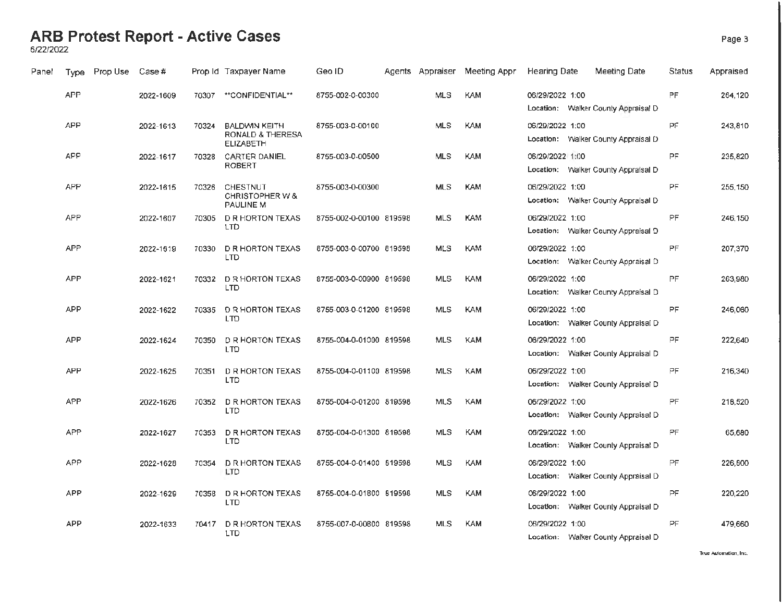### **ARB Protest Report - Active Cases** Page 3

6/22/2022

| Panel | Type       | Prop Use | Case #    |       | Prop Id Taxpayer Name                                                   | Geo ID                  | Agents Appraiser | Meeting Appr | Hearing Date    | Meeting Date                        | Status    | Appraised |
|-------|------------|----------|-----------|-------|-------------------------------------------------------------------------|-------------------------|------------------|--------------|-----------------|-------------------------------------|-----------|-----------|
|       | <b>APP</b> |          | 2022-1609 | 70307 | **CONFIDENTIAL**                                                        | 8755-002-0-00300        | MLS              | <b>KAM</b>   | 06/29/2022 1:00 | Location: Walker County Appraisal D | PF.       | 264,120   |
|       | <b>APP</b> |          | 2022-1613 | 70324 | <b>BALDWIN KEITH</b><br><b>RONALD &amp; THERESA</b><br><b>ELIZABETH</b> | 8755-003-0-00100        | <b>MLS</b>       | <b>KAM</b>   | 06/29/2022 1:00 | Location: Walker County Appraisal D | <b>PF</b> | 243,810   |
|       | APP        |          | 2022-1617 | 70328 | <b>CARTER DANIEL</b><br>ROBERT                                          | 8755-003-0-00500        | <b>MLS</b>       | KAM          | 06/29/2022 1:00 | Location: Walker County Appraisal D | <b>PF</b> | 235,820   |
|       | <b>APP</b> |          | 2022-1615 | 70326 | CHESTNUT<br>CHRISTOPHER W &<br>PAULINE M                                | 8755-003-0-00300        | <b>MLS</b>       | <b>KAM</b>   | 06/29/2022 1:00 | Location: Walker County Appraisal D | PF.       | 255,150   |
|       | <b>APP</b> |          | 2022-1607 | 70305 | <b>D R HORTON TEXAS</b><br><b>LTD</b>                                   | 8755-002-0-00100 819598 | <b>MLS</b>       | <b>KAM</b>   | 06/29/2022 1:00 | Location: Walker County Appraisal D | PF.       | 246,150   |
|       | <b>APP</b> |          | 2022-1619 | 70330 | <b>D R HORTON TEXAS</b><br>LTD                                          | 8755-003-0-00700 819598 | <b>MLS</b>       | <b>KAM</b>   | 06/29/2022 1:00 | Location: Walker County Appraisal D | PF        | 207,370   |
|       | <b>APP</b> |          | 2022-1621 |       | 70332 D R HORTON TEXAS<br><b>LTD</b>                                    | 8755-003-0-00900 819598 | <b>MLS</b>       | <b>KAM</b>   | 06/29/2022 1:00 | Location: Walker County Appraisal D | <b>PF</b> | 263,980   |
|       | <b>APP</b> |          | 2022-1622 | 70335 | <b>D R HORTON TEXAS</b><br><b>LTD</b>                                   | 8755-003-0-01200 819598 | <b>MLS</b>       | <b>KAM</b>   | 06/29/2022 1:00 | Location: Walker County Appraisal D | <b>PF</b> | 246,060   |
|       | <b>APP</b> |          | 2022-1624 | 70350 | <b>DR HORTON TEXAS</b><br>LTD                                           | 8755-004-0-01000 819598 | <b>MLS</b>       | <b>KAM</b>   | 06/29/2022 1:00 | Location: Walker County Appraisal D | PF        | 222,640   |
|       | APP        |          | 2022-1625 | 70351 | <b>D R HORTON TEXAS</b><br><b>LTD</b>                                   | 8755-004-0-01100 819598 | <b>MLS</b>       | <b>KAM</b>   | 06/29/2022 1:00 | Location: Walker County Appraisal D | PF        | 216,340   |
|       | <b>APP</b> |          | 2022-1626 | 70352 | <b>DR HORTON TEXAS</b><br><b>LTD</b>                                    | 8755-004-0-01200 819598 | <b>MLS</b>       | <b>KAM</b>   | 06/29/2022 1:00 | Location: Walker County Appraisal D | PF        | 218,520   |
|       | <b>APP</b> |          | 2022-1627 | 70353 | <b>DR HORTON TEXAS</b><br>LTD.                                          | 8755-004-0-01300 819598 | <b>MLS</b>       | <b>KAM</b>   | 06/29/2022 1:00 | Location: Walker County Appraisal D | PF        | 65,680    |
|       | APP        |          | 2022-1628 | 70354 | <b>D R HORTON TEXAS</b><br>LTD                                          | 8755-004-0-01400 819598 | <b>MLS</b>       | <b>KAM</b>   | 06/29/2022 1:00 | Location: Walker County Appraisal D | PF        | 226,800   |
|       | <b>APP</b> |          | 2022-1629 | 70358 | <b>D R HORTON TEXAS</b><br><b>LTD</b>                                   | 8755-004-0-01800 819598 | <b>MLS</b>       | <b>KAM</b>   | 06/29/2022 1:00 | Location: Walker County Appraisal D | PF        | 220,220   |
|       | <b>APP</b> |          | 2022-1633 | 70417 | <b>DR HORTON TEXAS</b><br>LTD                                           | 8755-007-0-00800 819598 | <b>MLS</b>       | <b>KAM</b>   | 06/29/2022 1:00 | Location: Walker County Appraisal D | PF.       | 479.660   |

**True Automation, Inc.**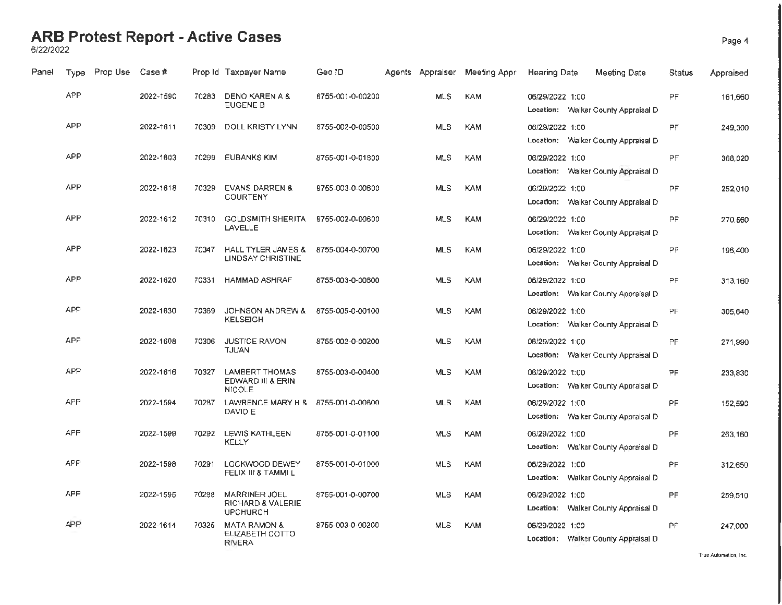### **ARB Protest Report - Active Cases**

6/22/2022

| Panel | Type       | Prop Use | Case #    |       | Prop Id Taxpayer Name                                        | Geo ID           | Agents Appraiser | Meeting Appr | <b>Hearing Date</b> | Meeting Date                        | Status    | Appraised |
|-------|------------|----------|-----------|-------|--------------------------------------------------------------|------------------|------------------|--------------|---------------------|-------------------------------------|-----------|-----------|
|       | <b>APP</b> |          | 2022-1590 | 70283 | <b>DENO KAREN A &amp;</b><br>EUGENE B                        | 8755-001-0-00200 | <b>MLS</b>       | <b>KAM</b>   | 06/29/2022 1:00     | Location: Walker County Appraisal D | PF        | 161,660   |
|       | <b>APP</b> |          | 2022-1611 | 70309 | DOLL KRISTY LYNN                                             | 8755-002-0-00500 | <b>MLS</b>       | <b>KAM</b>   | 06/29/2022 1:00     | Location: Walker County Appraisal D | <b>PF</b> | 249,300   |
|       | <b>APP</b> |          | 2022-1603 | 70299 | <b>EUBANKS KIM</b>                                           | 8755-001-0-01800 | <b>MLS</b>       | KAM          | 06/29/2022 1:00     | Location: Walker County Appraisal D | PF        | 368,020   |
|       | <b>APP</b> |          | 2022-1618 | 70329 | <b>EVANS DARREN &amp;</b><br>COURTENY                        | 8755-003-0-00600 | <b>MLS</b>       | <b>KAM</b>   | 06/29/2022 1:00     | Location: Walker County Appraisal D | PF        | 252,010   |
|       | <b>APP</b> |          | 2022-1612 | 70310 | <b>GOLDSMITH SHERITA</b><br>LAVELLE                          | 8755-002-0-00600 | <b>MLS</b>       | <b>KAM</b>   | 06/29/2022 1:00     | Location: Walker County Appraisal D | PF        | 270.560   |
|       | APP        |          | 2022-1623 | 70347 | HALL TYLER JAMES &<br><b>LINDSAY CHRISTINE</b>               | 8755-004-0-00700 | <b>MLS</b>       | <b>KAM</b>   | 06/29/2022 1:00     | Location: Walker County Appraisal D | PF        | 196,400   |
|       | <b>APP</b> |          | 2022-1620 | 70331 | <b>HAMMAD ASHRAF</b>                                         | 8755-003-0-00800 | <b>MLS</b>       | <b>KAM</b>   | 06/29/2022 1:00     | Location: Walker County Appraisal D | PF        | 313,160   |
|       | APP        |          | 2022-1630 | 70369 | JOHNSON ANDREW &<br><b>KELSEIGH</b>                          | 8755-005-0-00100 | <b>MLS</b>       | <b>KAM</b>   | 06/29/2022 1:00     | Location: Walker County Appraisal D | PF        | 305,640   |
|       | <b>APP</b> |          | 2022-1608 | 70306 | JUSTICE RAVON<br><b>TJUAN</b>                                | 8755-002-0-00200 | <b>MLS</b>       | <b>KAM</b>   | 06/29/2022 1:00     | Location: Walker County Appraisal D | PF        | 271,990   |
|       | <b>APP</b> |          | 2022-1616 | 70327 | LAMBERT THOMAS<br>EDWARD III & ERIN<br><b>NICOLE</b>         | 8755-003-0-00400 | <b>MLS</b>       | <b>KAM</b>   | 06/29/2022 1:00     | Location: Walker County Appraisal D | PF        | 233,830   |
|       | <b>APP</b> |          | 2022-1594 | 70287 | LAWRENCE MARY H &<br>DAVID E                                 | 8755-001-0-00600 | <b>MLS</b>       | <b>KAM</b>   | 06/29/2022 1:00     | Location: Walker County Appraisal D | PF        | 152,590   |
|       | APP        |          | 2022-1599 | 70292 | LEWIS KATHLEEN<br>KELLY                                      | 8755-001-0-01100 | <b>MLS</b>       | <b>KAM</b>   | 06/29/2022 1:00     | Location: Walker County Appraisal D | PF        | 263,160   |
|       | <b>APP</b> |          | 2022-1598 | 70291 | LOCKWOOD DEWEY<br>FELIX III & TAMMI L                        | 8755-001-0-01000 | <b>MLS</b>       | <b>KAM</b>   | 06/29/2022 1:00     | Location: Walker County Appraisal D | <b>PF</b> | 312,650   |
|       | <b>APP</b> |          | 2022-1595 | 70288 | <b>MARRINER JOEL</b><br>RICHARD & VALERIE<br><b>UPCHURCH</b> | 8755-001-0-00700 | <b>MLS</b>       | <b>KAM</b>   | 06/29/2022 1:00     | Location: Walker County Appraisal D | <b>PF</b> | 259,510   |
|       | APP        |          | 2022-1614 | 70325 | <b>MATA RAMON &amp;</b><br>ELIZABETH COTTO<br>RIVERA         | 8755-003-0-00200 | <b>MLS</b>       | <b>KAM</b>   | 06/29/2022 1:00     | Location: Walker County Appraisal D | <b>PF</b> | 247,000   |
|       |            |          |           |       |                                                              |                  |                  |              |                     |                                     |           |           |

Page 4

**True Automation, Inc.**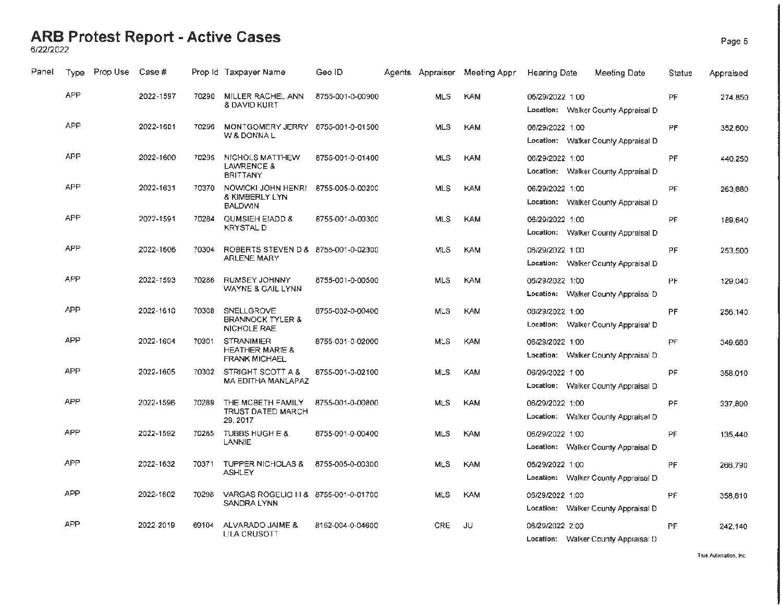## **ARB Protest Report - Active Cases** Page 5 6/22/2022

| Panel | Type       | Prop Use | Case #    |       | Prop Id Taxpayer Name                                                   | Geo ID           |            | Agents Appraiser Meeting Appri | <b>Hearing Date</b> | Meeting Date                        | Status    | Appraised |
|-------|------------|----------|-----------|-------|-------------------------------------------------------------------------|------------------|------------|--------------------------------|---------------------|-------------------------------------|-----------|-----------|
|       | <b>APP</b> |          | 2022-1597 | 70290 | MILLER RACHEL ANN<br>& DAVID KURT                                       | 8755-001-0-00900 | <b>MLS</b> | KAM                            | 06/29/2022 1:00     | Location: Walker County Appraisal D | PF        | 274,850   |
|       | <b>APP</b> |          | 2022-1601 | 70296 | MONTGOMERY JERRY 8755-001-0-01500<br>W & DONNA L                        |                  | <b>MLS</b> | KAM                            | 06/29/2022 1:00     | Location: Walker County Appraisal D | PF        | 352.600   |
|       | <b>APP</b> |          | 2022-1600 | 70295 | NICHOLS MATTHEW<br>LAWRENCE &<br><b>BRITTANY</b>                        | 8755-001-0-01400 | <b>MLS</b> | <b>KAM</b>                     | 06/29/2022 1:00     | Location: Walker County Appraisal D | PF        | 440,250   |
|       | APP        |          | 2022-1631 | 70370 | NOWICKI JOHN HENRI<br><b>&amp; KIMBERLY LYN</b><br><b>BALDWIN</b>       | 8755-005-0-00200 | <b>MLS</b> | <b>KAM</b>                     | 06/29/2022 1:00     | Location: Walker County Appraisal D | PF        | 263,680   |
|       | APP        |          | 2022-1591 | 70284 | QUMSIEH EIADD &<br><b>KRYSTAL D</b>                                     | 8755-001-0-00300 | <b>MLS</b> | <b>KAM</b>                     | 06/29/2022 1:00     | Location: Walker County Appraisal D | PF        | 189,640   |
|       | APP        |          | 2022-1606 | 70304 | ROBERTS STEVEN D & 8755-001-0-02300<br><b>ARLENE MARY</b>               |                  | <b>MLS</b> | <b>KAM</b>                     | 06/29/2022 1:00     | Location: Walker County Appraisal D | PF        | 253,500   |
|       | <b>APP</b> |          | 2022-1593 | 70286 | <b>RUMSEY JOHNNY</b><br>WAYNE & GAIL LYNN                               | 8755-001-0-00500 | <b>MLS</b> | <b>KAM</b>                     | 06/29/2022 1:00     | Location: Walker County Appraisal D | PF        | 129,040   |
|       | <b>APP</b> |          | 2022-1610 | 70308 | SNELLGROVE<br><b>BRANNOCK TYLER &amp;</b><br><b>NICHOLE RAE</b>         | 8755-002-0-00400 | <b>MLS</b> | <b>KAM</b>                     | 06/29/2022 1:00     | Location: Walker County Appraisal D | PF        | 256,140   |
|       | <b>APP</b> |          | 2022-1604 | 70301 | <b>STRANIMIER</b><br><b>HEATHER MARIE &amp;</b><br><b>FRANK MICHAEL</b> | 8755-001-0-02000 | <b>MLS</b> | KAM                            | 06/29/2022 1:00     | Location: Walker County Appraisal D | PF        | 349,660   |
|       | <b>APP</b> |          | 2022-1605 | 70302 | STRIGHT SCOTT A &<br><b>MA EDITHA MANLAPAZ</b>                          | 8755-001-0-02100 | <b>MLS</b> | <b>KAM</b>                     | 06/29/2022 1:00     | Location: Walker County Appraisal D | <b>PF</b> | 358.010   |
|       | <b>APP</b> |          | 2022-1596 | 70289 | THE MCBETH FAMILY<br>TRUST DATED MARCH<br>29, 2017                      | 8755-001-0-00800 | <b>MLS</b> | <b>KAM</b>                     | 06/29/2022 1:00     | Location: Walker County Appraisal D | PF        | 337,800   |
|       | <b>APP</b> |          | 2022-1592 | 70285 | TUBBS HUGH E &<br><b>LANNIE</b>                                         | 8755-001-0-00400 | <b>MLS</b> | <b>KAM</b>                     | 06/29/2022 1:00     | Location: Walker County Appraisal D | PF        | 135,440   |
|       | <b>APP</b> |          | 2022-1632 | 70371 | TUPPER NICHOLAS &<br><b>ASHLEY</b>                                      | 8755-005-0-00300 | <b>MLS</b> | <b>KAM</b>                     | 06/29/2022 1:00     | Location: Walker County Appraisal D | PF        | 266,790   |
|       | <b>APP</b> |          | 2022-1602 | 70298 | VARGAS ROGELIO III & 8755-001-0-01700<br>SANDRA LYNN                    |                  | <b>MLS</b> | <b>KAM</b>                     | 06/29/2022 1:00     | Location: Walker County Appraisal D | PF        | 358,810   |
|       | <b>APP</b> |          | 2022-2019 | 69104 | ALVARADO JAIME &<br>LILA CRUSOTT                                        | 8162-004-0-04600 | CRE        | JU.                            | 06/29/2022 2:00     | Location: Walker County Appraisal D | PF        | 242,140   |

**True Automation. Inc.**